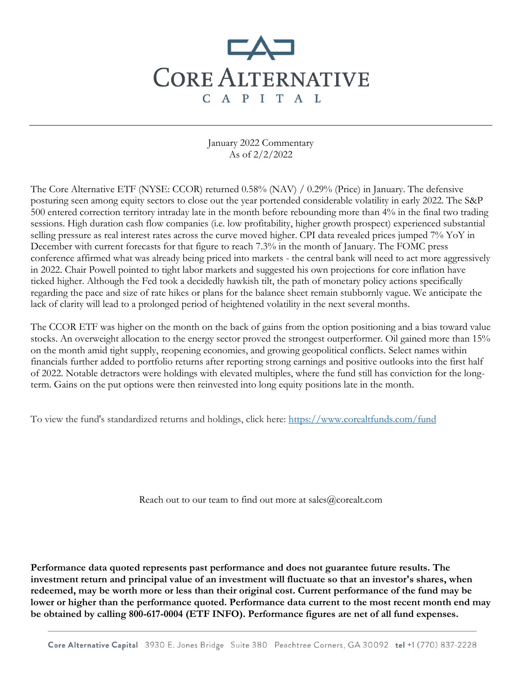## **CORE ALTERNATIVE** C A P I T A L

January 2022 Commentary As of 2/2/2022

The Core Alternative ETF (NYSE: CCOR) returned 0.58% (NAV) / 0.29% (Price) in January. The defensive posturing seen among equity sectors to close out the year portended considerable volatility in early 2022. The S&P 500 entered correction territory intraday late in the month before rebounding more than 4% in the final two trading sessions. High duration cash flow companies (i.e. low profitability, higher growth prospect) experienced substantial selling pressure as real interest rates across the curve moved higher. CPI data revealed prices jumped 7% YoY in December with current forecasts for that figure to reach 7.3% in the month of January. The FOMC press conference affirmed what was already being priced into markets - the central bank will need to act more aggressively in 2022. Chair Powell pointed to tight labor markets and suggested his own projections for core inflation have ticked higher. Although the Fed took a decidedly hawkish tilt, the path of monetary policy actions specifically regarding the pace and size of rate hikes or plans for the balance sheet remain stubbornly vague. We anticipate the lack of clarity will lead to a prolonged period of heightened volatility in the next several months.

The CCOR ETF was higher on the month on the back of gains from the option positioning and a bias toward value stocks. An overweight allocation to the energy sector proved the strongest outperformer. Oil gained more than 15% on the month amid tight supply, reopening economies, and growing geopolitical conflicts. Select names within financials further added to portfolio returns after reporting strong earnings and positive outlooks into the first half of 2022. Notable detractors were holdings with elevated multiples, where the fund still has conviction for the longterm. Gains on the put options were then reinvested into long equity positions late in the month.

To view the fund's standardized returns and holdings, click here:<https://www.corealtfunds.com/fund>

Reach out to our team to find out more at sales@corealt.com

**Performance data quoted represents past performance and does not guarantee future results. The investment return and principal value of an investment will fluctuate so that an investor's shares, when redeemed, may be worth more or less than their original cost. Current performance of the fund may be lower or higher than the performance quoted. Performance data current to the most recent month end may be obtained by calling 800-617-0004 (ETF INFO). Performance figures are net of all fund expenses.**